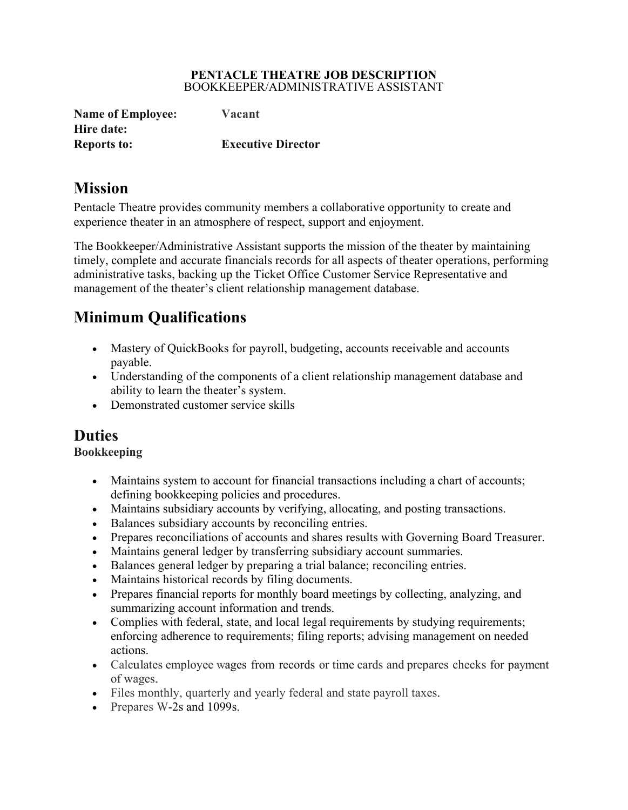#### **PENTACLE THEATRE JOB DESCRIPTION** BOOKKEEPER/ADMINISTRATIVE ASSISTANT

| <b>Name of Employee:</b> | Vacant                    |
|--------------------------|---------------------------|
| Hire date:               |                           |
| <b>Reports to:</b>       | <b>Executive Director</b> |

# **Mission**

Pentacle Theatre provides community members a collaborative opportunity to create and experience theater in an atmosphere of respect, support and enjoyment.

The Bookkeeper/Administrative Assistant supports the mission of the theater by maintaining timely, complete and accurate financials records for all aspects of theater operations, performing administrative tasks, backing up the Ticket Office Customer Service Representative and management of the theater's client relationship management database.

# **Minimum Qualifications**

- Mastery of QuickBooks for payroll, budgeting, accounts receivable and accounts payable.
- Understanding of the components of a client relationship management database and ability to learn the theater's system.
- Demonstrated customer service skills

# **Duties**

# **Bookkeeping**

- Maintains system to account for financial transactions including a chart of accounts; defining bookkeeping policies and procedures.
- Maintains subsidiary accounts by verifying, allocating, and posting transactions.
- Balances subsidiary accounts by reconciling entries.
- Prepares reconciliations of accounts and shares results with Governing Board Treasurer.
- Maintains general ledger by transferring subsidiary account summaries.
- Balances general ledger by preparing a trial balance; reconciling entries.
- Maintains historical records by filing documents.
- Prepares financial reports for monthly board meetings by collecting, analyzing, and summarizing account information and trends.
- Complies with federal, state, and local legal requirements by studying requirements; enforcing adherence to requirements; filing reports; advising management on needed actions.
- Calculates employee wages from records or time cards and prepares checks for payment of wages.
- Files monthly, quarterly and yearly federal and state payroll taxes.
- Prepares W-2s and 1099s.